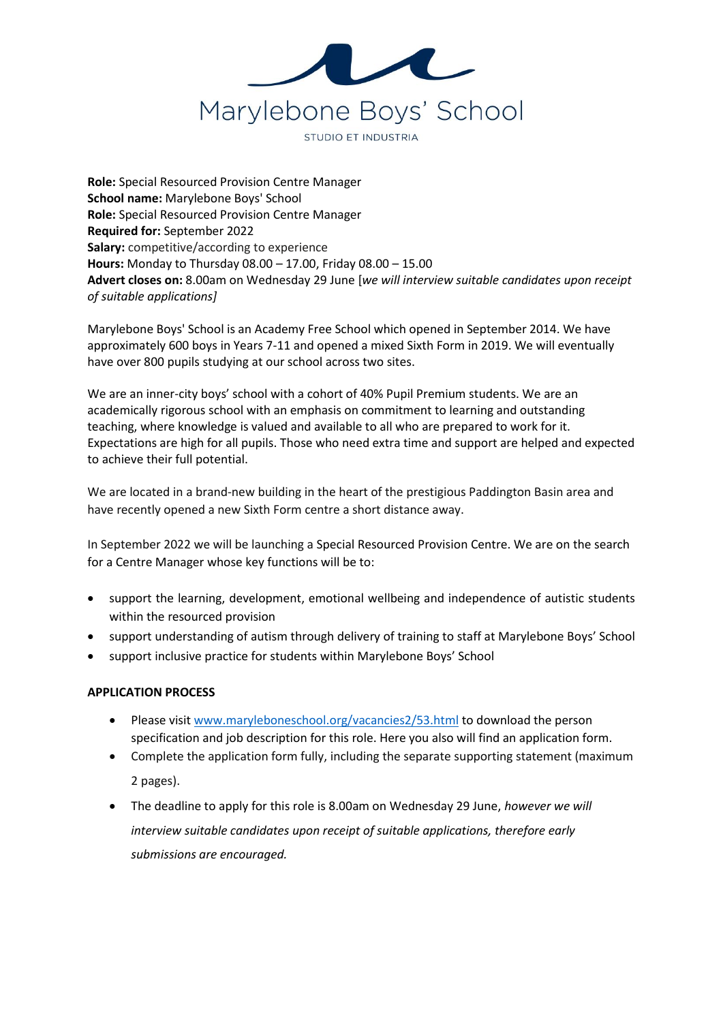

**Role:** Special Resourced Provision Centre Manager **School name:** Marylebone Boys' School **Role:** Special Resourced Provision Centre Manager **Required for:** September 2022 **Salary:** competitive/according to experience **Hours:** Monday to Thursday 08.00 – 17.00, Friday 08.00 – 15.00 **Advert closes on:** 8.00am on Wednesday 29 June [*we will interview suitable candidates upon receipt of suitable applications]*

Marylebone Boys' School is an Academy Free School which opened in September 2014. We have approximately 600 boys in Years 7-11 and opened a mixed Sixth Form in 2019. We will eventually have over 800 pupils studying at our school across two sites.

We are an inner-city boys' school with a cohort of 40% Pupil Premium students. We are an academically rigorous school with an emphasis on commitment to learning and outstanding teaching, where knowledge is valued and available to all who are prepared to work for it. Expectations are high for all pupils. Those who need extra time and support are helped and expected to achieve their full potential.

We are located in a brand-new building in the heart of the prestigious Paddington Basin area and have recently opened a new Sixth Form centre a short distance away.

In September 2022 we will be launching a Special Resourced Provision Centre. We are on the search for a Centre Manager whose key functions will be to:

- support the learning, development, emotional wellbeing and independence of autistic students within the resourced provision
- support understanding of autism through delivery of training to staff at Marylebone Boys' School
- support inclusive practice for students within Marylebone Boys' School

## **APPLICATION PROCESS**

- Please visi[t www.maryleboneschool.org/vacancies2/53.html](http://www.maryleboneschool.org/vacancies2/53.html) to download the person specification and job description for this role. Here you also will find an application form.
- Complete the application form fully, including the separate supporting statement (maximum 2 pages).
- The deadline to apply for this role is 8.00am on Wednesday 29 June, *however we will interview suitable candidates upon receipt of suitable applications, therefore early submissions are encouraged.*